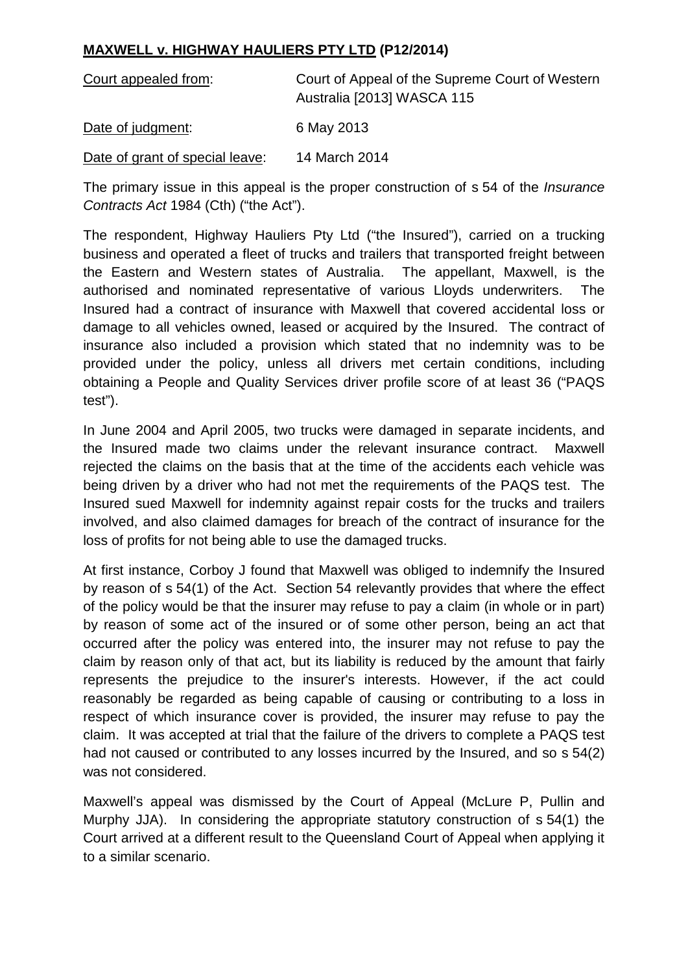## **MAXWELL v. HIGHWAY HAULIERS PTY LTD (P12/2014)**

| Court appealed from:            | Court of Appeal of the Supreme Court of Western<br>Australia [2013] WASCA 115 |
|---------------------------------|-------------------------------------------------------------------------------|
| Date of judgment:               | 6 May 2013                                                                    |
| Date of grant of special leave: | 14 March 2014                                                                 |

The primary issue in this appeal is the proper construction of s 54 of the *Insurance Contracts Act* 1984 (Cth) ("the Act").

The respondent, Highway Hauliers Pty Ltd ("the Insured"), carried on a trucking business and operated a fleet of trucks and trailers that transported freight between the Eastern and Western states of Australia. The appellant, Maxwell, is the authorised and nominated representative of various Lloyds underwriters. The Insured had a contract of insurance with Maxwell that covered accidental loss or damage to all vehicles owned, leased or acquired by the Insured. The contract of insurance also included a provision which stated that no indemnity was to be provided under the policy, unless all drivers met certain conditions, including obtaining a People and Quality Services driver profile score of at least 36 ("PAQS test").

In June 2004 and April 2005, two trucks were damaged in separate incidents, and the Insured made two claims under the relevant insurance contract. Maxwell rejected the claims on the basis that at the time of the accidents each vehicle was being driven by a driver who had not met the requirements of the PAQS test. The Insured sued Maxwell for indemnity against repair costs for the trucks and trailers involved, and also claimed damages for breach of the contract of insurance for the loss of profits for not being able to use the damaged trucks.

At first instance, Corboy J found that Maxwell was obliged to indemnify the Insured by reason of s 54(1) of the Act. Section 54 relevantly provides that where the effect of the policy would be that the insurer may refuse to pay a claim (in whole or in part) by reason of some act of the insured or of some other person, being an act that occurred after the policy was entered into, the insurer may not refuse to pay the claim by reason only of that act, but its liability is reduced by the amount that fairly represents the prejudice to the insurer's interests. However, if the act could reasonably be regarded as being capable of causing or contributing to a loss in respect of which insurance cover is provided, the insurer may refuse to pay the claim. It was accepted at trial that the failure of the drivers to complete a PAQS test had not caused or contributed to any losses incurred by the Insured, and so s 54(2) was not considered.

Maxwell's appeal was dismissed by the Court of Appeal (McLure P, Pullin and Murphy JJA). In considering the appropriate statutory construction of s 54(1) the Court arrived at a different result to the Queensland Court of Appeal when applying it to a similar scenario.